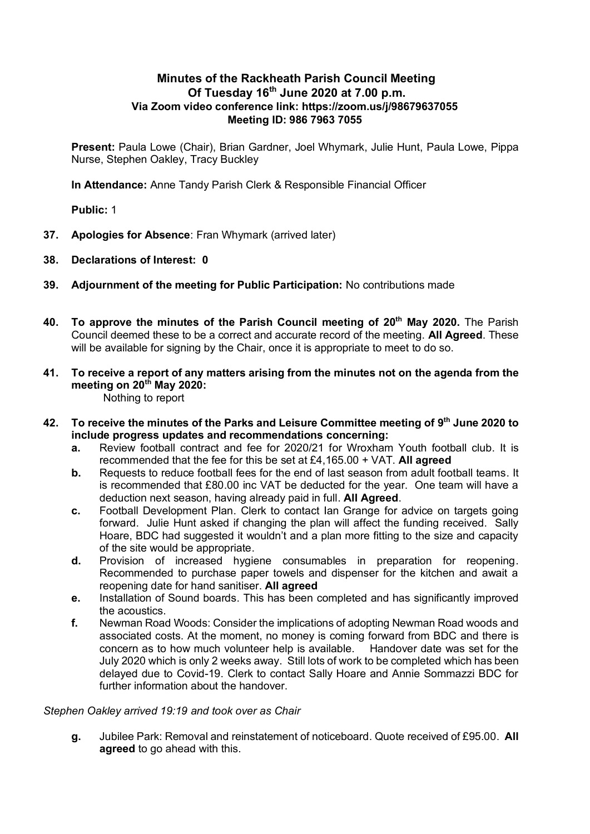# **Minutes of the Rackheath Parish Council Meeting Of Tuesday 16th June 2020 at 7.00 p.m. Via Zoom video conference link: https://zoom.us/j/98679637055 Meeting ID: 986 7963 7055**

**Present:** Paula Lowe (Chair), Brian Gardner, Joel Whymark, Julie Hunt, Paula Lowe, Pippa Nurse, Stephen Oakley, Tracy Buckley

**In Attendance:** Anne Tandy Parish Clerk & Responsible Financial Officer

**Public:** 1

- **37. Apologies for Absence**: Fran Whymark (arrived later)
- **38. Declarations of Interest: 0**
- **39. Adjournment of the meeting for Public Participation:** No contributions made
- **40. To approve the minutes of the Parish Council meeting of 20 th May 2020.** The Parish Council deemed these to be a correct and accurate record of the meeting. **All Agreed**. These will be available for signing by the Chair, once it is appropriate to meet to do so.
- **41. To receive a report of any matters arising from the minutes not on the agenda from the meeting on 20 th May 2020:**  Nothing to report
- **42. To receive the minutes of the Parks and Leisure Committee meeting of 9 th June 2020 to include progress updates and recommendations concerning:** 
	- **a.** Review football contract and fee for 2020/21 for Wroxham Youth football club. It is recommended that the fee for this be set at £4,165.00 + VAT. **All agreed**
	- **b.** Requests to reduce football fees for the end of last season from adult football teams. It is recommended that £80.00 inc VAT be deducted for the year. One team will have a deduction next season, having already paid in full. **All Agreed**.
	- **c.** Football Development Plan. Clerk to contact Ian Grange for advice on targets going forward. Julie Hunt asked if changing the plan will affect the funding received. Sally Hoare, BDC had suggested it wouldn't and a plan more fitting to the size and capacity of the site would be appropriate.
	- **d.** Provision of increased hygiene consumables in preparation for reopening. Recommended to purchase paper towels and dispenser for the kitchen and await a reopening date for hand sanitiser. **All agreed**
	- **e.** Installation of Sound boards. This has been completed and has significantly improved the acoustics.
	- **f.** Newman Road Woods: Consider the implications of adopting Newman Road woods and associated costs. At the moment, no money is coming forward from BDC and there is concern as to how much volunteer help is available. Handover date was set for the July 2020 which is only 2 weeks away. Still lots of work to be completed which has been delayed due to Covid-19. Clerk to contact Sally Hoare and Annie Sommazzi BDC for further information about the handover.

*Stephen Oakley arrived 19:19 and took over as Chair*

**g.** Jubilee Park: Removal and reinstatement of noticeboard. Quote received of £95.00. **All agreed** to go ahead with this.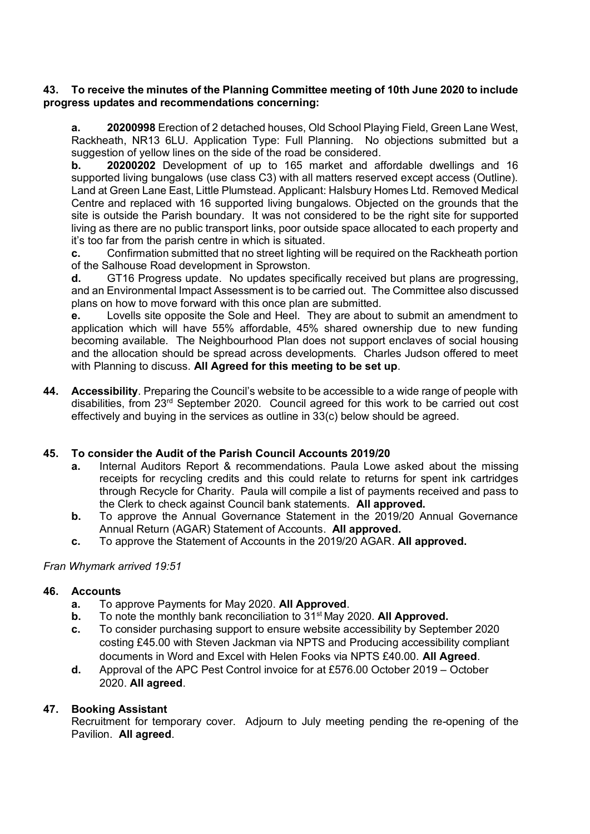#### **43. To receive the minutes of the Planning Committee meeting of 10th June 2020 to include progress updates and recommendations concerning:**

**a. 20200998** Erection of 2 detached houses, Old School Playing Field, Green Lane West, Rackheath, NR13 6LU. Application Type: Full Planning. No objections submitted but a suggestion of yellow lines on the side of the road be considered.

**b. 20200202** Development of up to 165 market and affordable dwellings and 16 supported living bungalows (use class C3) with all matters reserved except access (Outline). Land at Green Lane East, Little Plumstead. Applicant: Halsbury Homes Ltd. Removed Medical Centre and replaced with 16 supported living bungalows. Objected on the grounds that the site is outside the Parish boundary. It was not considered to be the right site for supported living as there are no public transport links, poor outside space allocated to each property and it's too far from the parish centre in which is situated.

**c.** Confirmation submitted that no street lighting will be required on the Rackheath portion of the Salhouse Road development in Sprowston.

**d.** GT16 Progress update. No updates specifically received but plans are progressing, and an Environmental Impact Assessment is to be carried out. The Committee also discussed plans on how to move forward with this once plan are submitted.

**e.** Lovells site opposite the Sole and Heel. They are about to submit an amendment to application which will have 55% affordable, 45% shared ownership due to new funding becoming available. The Neighbourhood Plan does not support enclaves of social housing and the allocation should be spread across developments. Charles Judson offered to meet with Planning to discuss. **All Agreed for this meeting to be set up**.

**44. Accessibility**. Preparing the Council's website to be accessible to a wide range of people with disabilities, from  $23<sup>rd</sup>$  September 2020. Council agreed for this work to be carried out cost effectively and buying in the services as outline in 33(c) below should be agreed.

# **45. To consider the Audit of the Parish Council Accounts 2019/20**

- **a.** Internal Auditors Report & recommendations. Paula Lowe asked about the missing receipts for recycling credits and this could relate to returns for spent ink cartridges through Recycle for Charity. Paula will compile a list of payments received and pass to the Clerk to check against Council bank statements. **All approved.**
- **b.** To approve the Annual Governance Statement in the 2019/20 Annual Governance Annual Return (AGAR) Statement of Accounts. **All approved.**
- **c.** To approve the Statement of Accounts in the 2019/20 AGAR. **All approved.**

#### *Fran Whymark arrived 19:51*

# **46. Accounts**

- **a.** To approve Payments for May 2020. **All Approved**.
- **b.** To note the monthly bank reconciliation to 31<sup>st</sup> May 2020. All Approved.
- **c.** To consider purchasing support to ensure website accessibility by September 2020 costing £45.00 with Steven Jackman via NPTS and Producing accessibility compliant documents in Word and Excel with Helen Fooks via NPTS £40.00. **All Agreed**.
- **d.** Approval of the APC Pest Control invoice for at £576.00 October 2019 October 2020. **All agreed**.

#### **47. Booking Assistant**

Recruitment for temporary cover. Adjourn to July meeting pending the re-opening of the Pavilion. **All agreed**.